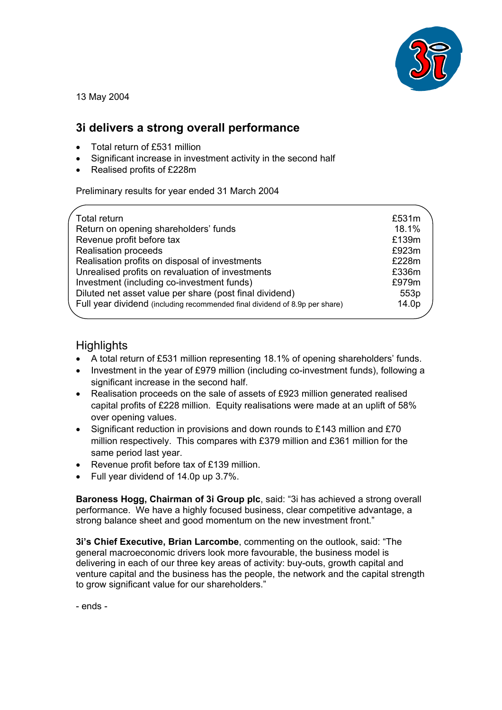

13 May 2004

## **3i delivers a strong overall performance**

- Total return of £531 million
- Significant increase in investment activity in the second half
- Realised profits of £228m

Preliminary results for year ended 31 March 2004

| Total return                                                                | £531m |
|-----------------------------------------------------------------------------|-------|
| Return on opening shareholders' funds                                       | 18.1% |
| Revenue profit before tax                                                   | £139m |
| <b>Realisation proceeds</b>                                                 | £923m |
| Realisation profits on disposal of investments                              | £228m |
| Unrealised profits on revaluation of investments                            | £336m |
| Investment (including co-investment funds)                                  | £979m |
| Diluted net asset value per share (post final dividend)                     | 553p  |
| Full year dividend (including recommended final dividend of 8.9p per share) | 14.0p |
|                                                                             |       |

# **Highlights**

- A total return of £531 million representing 18.1% of opening shareholders' funds.
- Investment in the year of £979 million (including co-investment funds), following a significant increase in the second half.
- Realisation proceeds on the sale of assets of £923 million generated realised capital profits of £228 million. Equity realisations were made at an uplift of 58% over opening values.
- Significant reduction in provisions and down rounds to £143 million and £70 million respectively. This compares with £379 million and £361 million for the same period last year.
- Revenue profit before tax of £139 million.
- Full year dividend of 14.0p up 3.7%.

**Baroness Hogg, Chairman of 3i Group plc**, said: "3i has achieved a strong overall performance. We have a highly focused business, clear competitive advantage, a strong balance sheet and good momentum on the new investment front."

**3i's Chief Executive, Brian Larcombe**, commenting on the outlook, said: "The general macroeconomic drivers look more favourable, the business model is delivering in each of our three key areas of activity: buy-outs, growth capital and venture capital and the business has the people, the network and the capital strength to grow significant value for our shareholders."

- ends -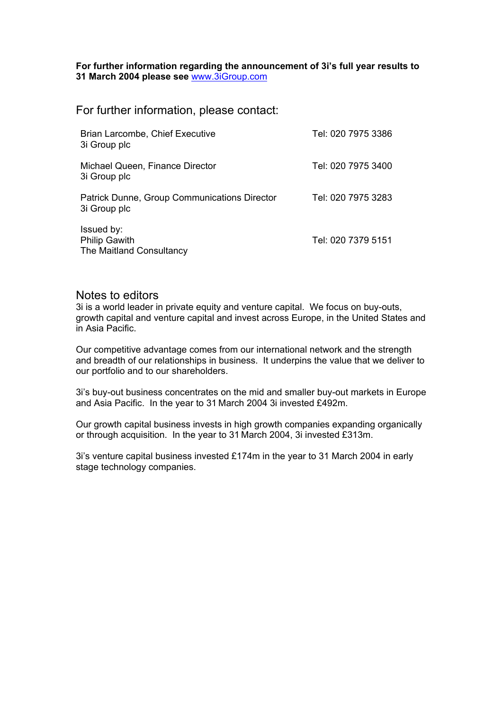**For further information regarding the announcement of 3i's full year results to 31 March 2004 please see** www.3iGroup.com

For further information, please contact:

| Brian Larcombe, Chief Executive<br>3i Group plc                | Tel: 020 7975 3386 |
|----------------------------------------------------------------|--------------------|
| Michael Queen, Finance Director<br>3i Group plc                | Tel: 020 7975 3400 |
| Patrick Dunne, Group Communications Director<br>3i Group plc   | Tel: 020 7975 3283 |
| Issued by:<br><b>Philip Gawith</b><br>The Maitland Consultancy | Tel: 020 7379 5151 |

#### Notes to editors

3i is a world leader in private equity and venture capital. We focus on buy-outs, growth capital and venture capital and invest across Europe, in the United States and in Asia Pacific.

Our competitive advantage comes from our international network and the strength and breadth of our relationships in business. It underpins the value that we deliver to our portfolio and to our shareholders.

3i's buy-out business concentrates on the mid and smaller buy-out markets in Europe and Asia Pacific. In the year to 31 March 2004 3i invested £492m.

Our growth capital business invests in high growth companies expanding organically or through acquisition. In the year to 31 March 2004, 3i invested £313m.

3i's venture capital business invested £174m in the year to 31 March 2004 in early stage technology companies.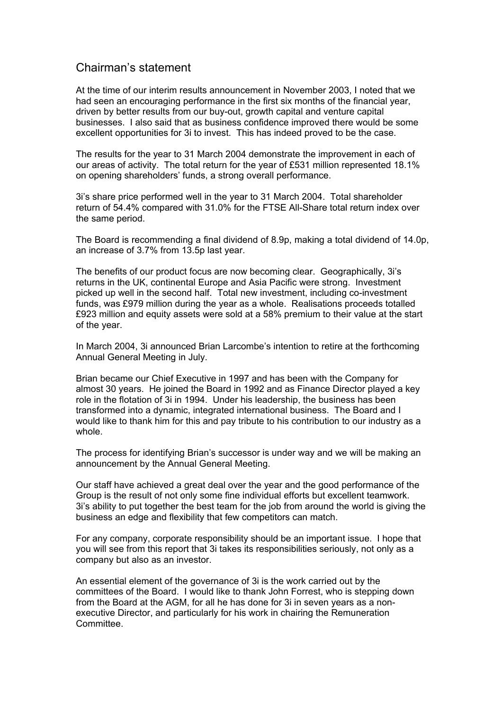### Chairman's statement

At the time of our interim results announcement in November 2003, I noted that we had seen an encouraging performance in the first six months of the financial year, driven by better results from our buy-out, growth capital and venture capital businesses. I also said that as business confidence improved there would be some excellent opportunities for 3i to invest. This has indeed proved to be the case.

The results for the year to 31 March 2004 demonstrate the improvement in each of our areas of activity. The total return for the year of £531 million represented 18.1% on opening shareholders' funds, a strong overall performance.

3i's share price performed well in the year to 31 March 2004. Total shareholder return of 54.4% compared with 31.0% for the FTSE All-Share total return index over the same period.

The Board is recommending a final dividend of 8.9p, making a total dividend of 14.0p, an increase of 3.7% from 13.5p last year.

The benefits of our product focus are now becoming clear. Geographically, 3i's returns in the UK, continental Europe and Asia Pacific were strong. Investment picked up well in the second half. Total new investment, including co-investment funds, was £979 million during the year as a whole. Realisations proceeds totalled £923 million and equity assets were sold at a 58% premium to their value at the start of the year.

In March 2004, 3i announced Brian Larcombe's intention to retire at the forthcoming Annual General Meeting in July.

Brian became our Chief Executive in 1997 and has been with the Company for almost 30 years. He joined the Board in 1992 and as Finance Director played a key role in the flotation of 3i in 1994. Under his leadership, the business has been transformed into a dynamic, integrated international business. The Board and I would like to thank him for this and pay tribute to his contribution to our industry as a whole.

The process for identifying Brian's successor is under way and we will be making an announcement by the Annual General Meeting.

Our staff have achieved a great deal over the year and the good performance of the Group is the result of not only some fine individual efforts but excellent teamwork. 3i's ability to put together the best team for the job from around the world is giving the business an edge and flexibility that few competitors can match.

For any company, corporate responsibility should be an important issue. I hope that you will see from this report that 3i takes its responsibilities seriously, not only as a company but also as an investor.

An essential element of the governance of 3i is the work carried out by the committees of the Board. I would like to thank John Forrest, who is stepping down from the Board at the AGM, for all he has done for 3i in seven years as a nonexecutive Director, and particularly for his work in chairing the Remuneration Committee.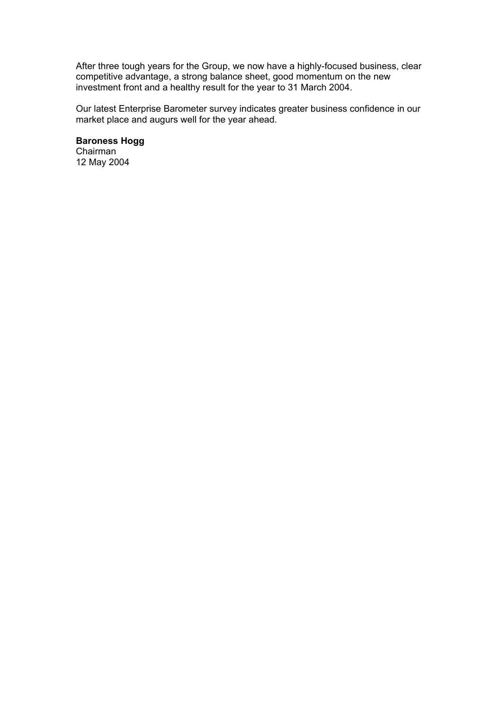After three tough years for the Group, we now have a highly-focused business, clear competitive advantage, a strong balance sheet, good momentum on the new investment front and a healthy result for the year to 31 March 2004.

Our latest Enterprise Barometer survey indicates greater business confidence in our market place and augurs well for the year ahead.

**Baroness Hogg** 

Chairman 12 May 2004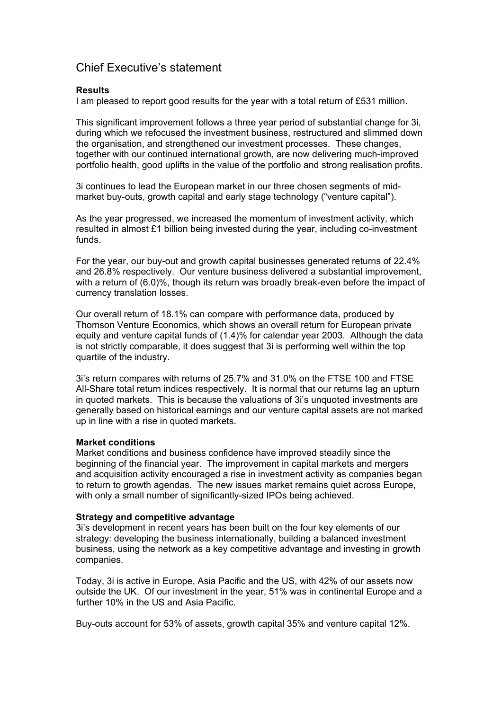## Chief Executive's statement

#### **Results**

I am pleased to report good results for the year with a total return of £531 million.

This significant improvement follows a three year period of substantial change for 3i, during which we refocused the investment business, restructured and slimmed down the organisation, and strengthened our investment processes. These changes, together with our continued international growth, are now delivering much-improved portfolio health, good uplifts in the value of the portfolio and strong realisation profits.

3i continues to lead the European market in our three chosen segments of midmarket buy-outs, growth capital and early stage technology ("venture capital").

As the year progressed, we increased the momentum of investment activity, which resulted in almost £1 billion being invested during the year, including co-investment funds.

For the year, our buy-out and growth capital businesses generated returns of 22.4% and 26.8% respectively. Our venture business delivered a substantial improvement, with a return of (6.0)%, though its return was broadly break-even before the impact of currency translation losses.

Our overall return of 18.1% can compare with performance data, produced by Thomson Venture Economics, which shows an overall return for European private equity and venture capital funds of (1.4)% for calendar year 2003. Although the data is not strictly comparable, it does suggest that 3i is performing well within the top quartile of the industry.

3i's return compares with returns of 25.7% and 31.0% on the FTSE 100 and FTSE All-Share total return indices respectively. It is normal that our returns lag an upturn in quoted markets. This is because the valuations of 3i's unquoted investments are generally based on historical earnings and our venture capital assets are not marked up in line with a rise in quoted markets.

#### **Market conditions**

Market conditions and business confidence have improved steadily since the beginning of the financial year. The improvement in capital markets and mergers and acquisition activity encouraged a rise in investment activity as companies began to return to growth agendas. The new issues market remains quiet across Europe, with only a small number of significantly-sized IPOs being achieved.

#### **Strategy and competitive advantage**

3i's development in recent years has been built on the four key elements of our strategy: developing the business internationally, building a balanced investment business, using the network as a key competitive advantage and investing in growth companies.

Today, 3i is active in Europe, Asia Pacific and the US, with 42% of our assets now outside the UK. Of our investment in the year, 51% was in continental Europe and a further 10% in the US and Asia Pacific.

Buy-outs account for 53% of assets, growth capital 35% and venture capital 12%.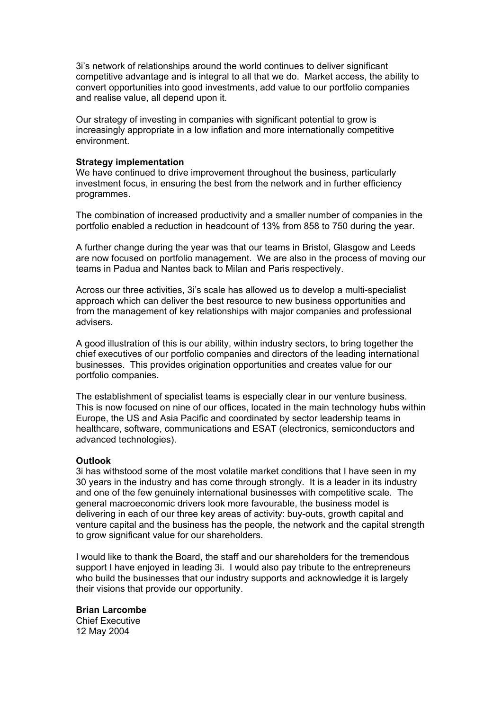3i's network of relationships around the world continues to deliver significant competitive advantage and is integral to all that we do. Market access, the ability to convert opportunities into good investments, add value to our portfolio companies and realise value, all depend upon it.

Our strategy of investing in companies with significant potential to grow is increasingly appropriate in a low inflation and more internationally competitive environment.

#### **Strategy implementation**

We have continued to drive improvement throughout the business, particularly investment focus, in ensuring the best from the network and in further efficiency programmes.

The combination of increased productivity and a smaller number of companies in the portfolio enabled a reduction in headcount of 13% from 858 to 750 during the year.

A further change during the year was that our teams in Bristol, Glasgow and Leeds are now focused on portfolio management. We are also in the process of moving our teams in Padua and Nantes back to Milan and Paris respectively.

Across our three activities, 3i's scale has allowed us to develop a multi-specialist approach which can deliver the best resource to new business opportunities and from the management of key relationships with major companies and professional advisers.

A good illustration of this is our ability, within industry sectors, to bring together the chief executives of our portfolio companies and directors of the leading international businesses. This provides origination opportunities and creates value for our portfolio companies.

The establishment of specialist teams is especially clear in our venture business. This is now focused on nine of our offices, located in the main technology hubs within Europe, the US and Asia Pacific and coordinated by sector leadership teams in healthcare, software, communications and ESAT (electronics, semiconductors and advanced technologies).

#### **Outlook**

3i has withstood some of the most volatile market conditions that I have seen in my 30 years in the industry and has come through strongly. It is a leader in its industry and one of the few genuinely international businesses with competitive scale. The general macroeconomic drivers look more favourable, the business model is delivering in each of our three key areas of activity: buy-outs, growth capital and venture capital and the business has the people, the network and the capital strength to grow significant value for our shareholders.

I would like to thank the Board, the staff and our shareholders for the tremendous support I have enjoyed in leading 3i. I would also pay tribute to the entrepreneurs who build the businesses that our industry supports and acknowledge it is largely their visions that provide our opportunity.

#### **Brian Larcombe**

Chief Executive 12 May 2004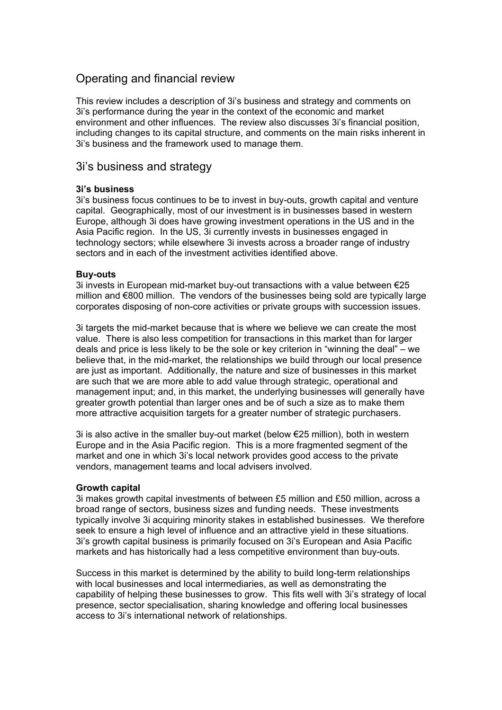### Operating and financial review

This review includes a description of 3i's business and strategy and comments on 3i's performance during the year in the context of the economic and market environment and other influences. The review also discusses 3i's financial position, including changes to its capital structure, and comments on the main risks inherent in 3i's business and the framework used to manage them.

### 3i's business and strategy

#### **3i's business**

3i's business focus continues to be to invest in buy-outs, growth capital and venture capital. Geographically, most of our investment is in businesses based in western Europe, although 3i does have growing investment operations in the US and in the Asia Pacific region. In the US, 3i currently invests in businesses engaged in technology sectors; while elsewhere 3i invests across a broader range of industry sectors and in each of the investment activities identified above.

#### **Buy-outs**

3i invests in European mid-market buy-out transactions with a value between €25 million and €800 million. The vendors of the businesses being sold are typically large corporates disposing of non-core activities or private groups with succession issues.

3i targets the mid-market because that is where we believe we can create the most value. There is also less competition for transactions in this market than for larger deals and price is less likely to be the sole or key criterion in "winning the deal" – we believe that, in the mid-market, the relationships we build through our local presence are just as important. Additionally, the nature and size of businesses in this market are such that we are more able to add value through strategic, operational and management input; and, in this market, the underlying businesses will generally have greater growth potential than larger ones and be of such a size as to make them more attractive acquisition targets for a greater number of strategic purchasers.

3i is also active in the smaller buy-out market (below €25 million), both in western Europe and in the Asia Pacific region. This is a more fragmented segment of the market and one in which 3i's local network provides good access to the private vendors, management teams and local advisers involved.

#### **Growth capital**

3i makes growth capital investments of between £5 million and £50 million, across a broad range of sectors, business sizes and funding needs. These investments typically involve 3i acquiring minority stakes in established businesses. We therefore seek to ensure a high level of influence and an attractive yield in these situations. 3i's growth capital business is primarily focused on 3i's European and Asia Pacific markets and has historically had a less competitive environment than buy-outs.

Success in this market is determined by the ability to build long-term relationships with local businesses and local intermediaries, as well as demonstrating the capability of helping these businesses to grow. This fits well with 3i's strategy of local presence, sector specialisation, sharing knowledge and offering local businesses access to 3i's international network of relationships.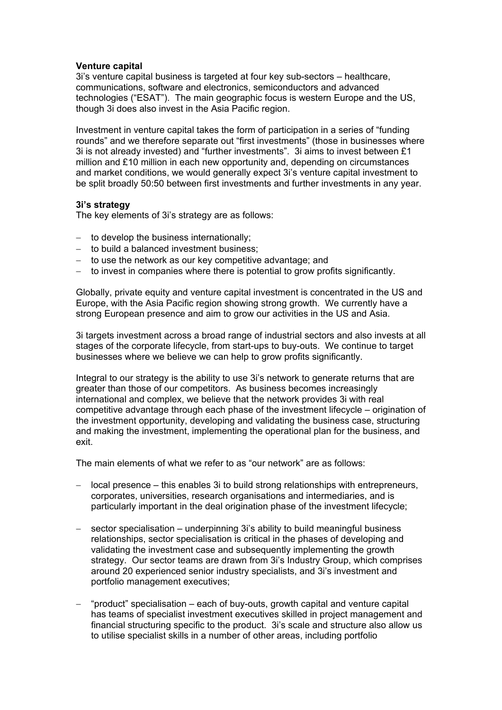#### **Venture capital**

3i's venture capital business is targeted at four key sub-sectors – healthcare, communications, software and electronics, semiconductors and advanced technologies ("ESAT"). The main geographic focus is western Europe and the US, though 3i does also invest in the Asia Pacific region.

Investment in venture capital takes the form of participation in a series of "funding rounds" and we therefore separate out "first investments" (those in businesses where 3i is not already invested) and "further investments". 3i aims to invest between £1 million and £10 million in each new opportunity and, depending on circumstances and market conditions, we would generally expect 3i's venture capital investment to be split broadly 50:50 between first investments and further investments in any year.

#### **3i's strategy**

The key elements of 3i's strategy are as follows:

- − to develop the business internationally;
- − to build a balanced investment business;
- − to use the network as our key competitive advantage; and
- − to invest in companies where there is potential to grow profits significantly.

Globally, private equity and venture capital investment is concentrated in the US and Europe, with the Asia Pacific region showing strong growth. We currently have a strong European presence and aim to grow our activities in the US and Asia.

3i targets investment across a broad range of industrial sectors and also invests at all stages of the corporate lifecycle, from start-ups to buy-outs. We continue to target businesses where we believe we can help to grow profits significantly.

Integral to our strategy is the ability to use 3i's network to generate returns that are greater than those of our competitors. As business becomes increasingly international and complex, we believe that the network provides 3i with real competitive advantage through each phase of the investment lifecycle – origination of the investment opportunity, developing and validating the business case, structuring and making the investment, implementing the operational plan for the business, and exit.

The main elements of what we refer to as "our network" are as follows:

- − local presence this enables 3i to build strong relationships with entrepreneurs, corporates, universities, research organisations and intermediaries, and is particularly important in the deal origination phase of the investment lifecycle;
- sector specialisation underpinning 3i's ability to build meaningful business relationships, sector specialisation is critical in the phases of developing and validating the investment case and subsequently implementing the growth strategy. Our sector teams are drawn from 3i's Industry Group, which comprises around 20 experienced senior industry specialists, and 3i's investment and portfolio management executives;
- − "product" specialisation each of buy-outs, growth capital and venture capital has teams of specialist investment executives skilled in project management and financial structuring specific to the product. 3i's scale and structure also allow us to utilise specialist skills in a number of other areas, including portfolio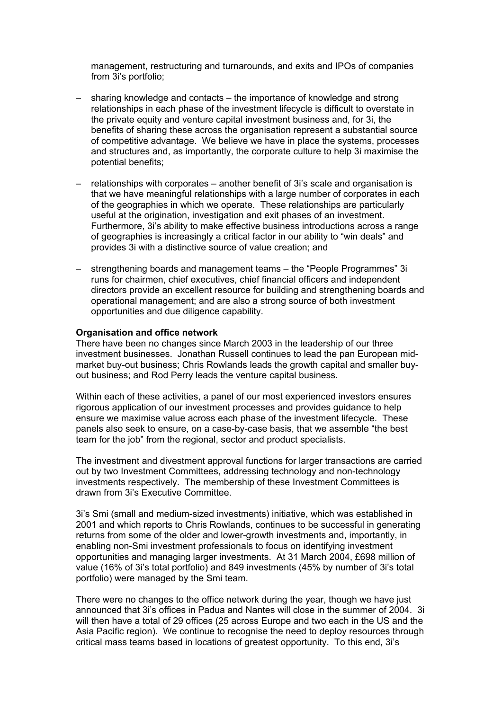management, restructuring and turnarounds, and exits and IPOs of companies from 3i's portfolio;

- sharing knowledge and contacts the importance of knowledge and strong relationships in each phase of the investment lifecycle is difficult to overstate in the private equity and venture capital investment business and, for 3i, the benefits of sharing these across the organisation represent a substantial source of competitive advantage. We believe we have in place the systems, processes and structures and, as importantly, the corporate culture to help 3i maximise the potential benefits;
- relationships with corporates another benefit of 3i's scale and organisation is that we have meaningful relationships with a large number of corporates in each of the geographies in which we operate. These relationships are particularly useful at the origination, investigation and exit phases of an investment. Furthermore, 3i's ability to make effective business introductions across a range of geographies is increasingly a critical factor in our ability to "win deals" and provides 3i with a distinctive source of value creation; and
- strengthening boards and management teams the "People Programmes" 3i runs for chairmen, chief executives, chief financial officers and independent directors provide an excellent resource for building and strengthening boards and operational management; and are also a strong source of both investment opportunities and due diligence capability.

#### **Organisation and office network**

There have been no changes since March 2003 in the leadership of our three investment businesses. Jonathan Russell continues to lead the pan European midmarket buy-out business; Chris Rowlands leads the growth capital and smaller buyout business; and Rod Perry leads the venture capital business.

Within each of these activities, a panel of our most experienced investors ensures rigorous application of our investment processes and provides guidance to help ensure we maximise value across each phase of the investment lifecycle. These panels also seek to ensure, on a case-by-case basis, that we assemble "the best team for the job" from the regional, sector and product specialists.

The investment and divestment approval functions for larger transactions are carried out by two Investment Committees, addressing technology and non-technology investments respectively. The membership of these Investment Committees is drawn from 3i's Executive Committee.

3i's Smi (small and medium-sized investments) initiative, which was established in 2001 and which reports to Chris Rowlands, continues to be successful in generating returns from some of the older and lower-growth investments and, importantly, in enabling non-Smi investment professionals to focus on identifying investment opportunities and managing larger investments. At 31 March 2004, £698 million of value (16% of 3i's total portfolio) and 849 investments (45% by number of 3i's total portfolio) were managed by the Smi team.

There were no changes to the office network during the year, though we have just announced that 3i's offices in Padua and Nantes will close in the summer of 2004. 3i will then have a total of 29 offices (25 across Europe and two each in the US and the Asia Pacific region). We continue to recognise the need to deploy resources through critical mass teams based in locations of greatest opportunity. To this end, 3i's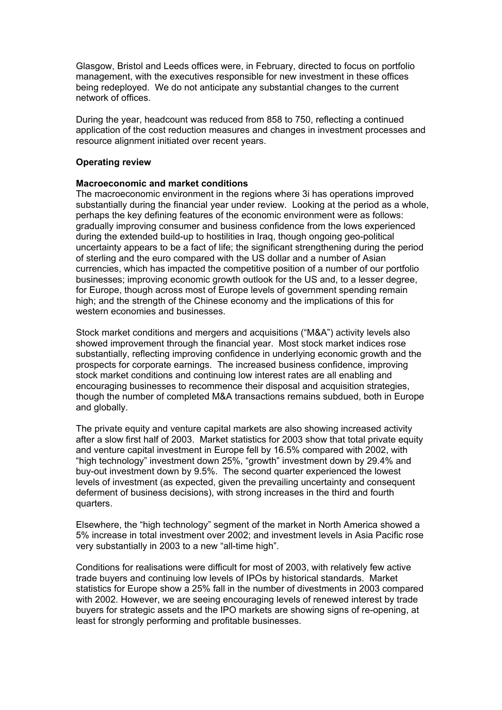Glasgow, Bristol and Leeds offices were, in February, directed to focus on portfolio management, with the executives responsible for new investment in these offices being redeployed. We do not anticipate any substantial changes to the current network of offices.

During the year, headcount was reduced from 858 to 750, reflecting a continued application of the cost reduction measures and changes in investment processes and resource alignment initiated over recent years.

#### **Operating review**

#### **Macroeconomic and market conditions**

The macroeconomic environment in the regions where 3i has operations improved substantially during the financial year under review. Looking at the period as a whole, perhaps the key defining features of the economic environment were as follows: gradually improving consumer and business confidence from the lows experienced during the extended build-up to hostilities in Iraq, though ongoing geo-political uncertainty appears to be a fact of life; the significant strengthening during the period of sterling and the euro compared with the US dollar and a number of Asian currencies, which has impacted the competitive position of a number of our portfolio businesses; improving economic growth outlook for the US and, to a lesser degree, for Europe, though across most of Europe levels of government spending remain high; and the strength of the Chinese economy and the implications of this for western economies and businesses.

Stock market conditions and mergers and acquisitions ("M&A") activity levels also showed improvement through the financial year. Most stock market indices rose substantially, reflecting improving confidence in underlying economic growth and the prospects for corporate earnings. The increased business confidence, improving stock market conditions and continuing low interest rates are all enabling and encouraging businesses to recommence their disposal and acquisition strategies, though the number of completed M&A transactions remains subdued, both in Europe and globally.

The private equity and venture capital markets are also showing increased activity after a slow first half of 2003. Market statistics for 2003 show that total private equity and venture capital investment in Europe fell by 16.5% compared with 2002, with "high technology" investment down 25%, "growth" investment down by 29.4% and buy-out investment down by 9.5%. The second quarter experienced the lowest levels of investment (as expected, given the prevailing uncertainty and consequent deferment of business decisions), with strong increases in the third and fourth quarters.

Elsewhere, the "high technology" segment of the market in North America showed a 5% increase in total investment over 2002; and investment levels in Asia Pacific rose very substantially in 2003 to a new "all-time high".

Conditions for realisations were difficult for most of 2003, with relatively few active trade buyers and continuing low levels of IPOs by historical standards. Market statistics for Europe show a 25% fall in the number of divestments in 2003 compared with 2002. However, we are seeing encouraging levels of renewed interest by trade buyers for strategic assets and the IPO markets are showing signs of re-opening, at least for strongly performing and profitable businesses.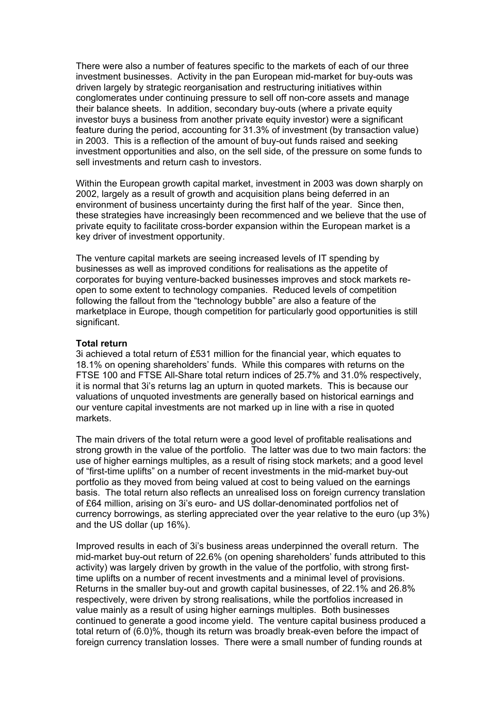There were also a number of features specific to the markets of each of our three investment businesses. Activity in the pan European mid-market for buy-outs was driven largely by strategic reorganisation and restructuring initiatives within conglomerates under continuing pressure to sell off non-core assets and manage their balance sheets. In addition, secondary buy-outs (where a private equity investor buys a business from another private equity investor) were a significant feature during the period, accounting for 31.3% of investment (by transaction value) in 2003. This is a reflection of the amount of buy-out funds raised and seeking investment opportunities and also, on the sell side, of the pressure on some funds to sell investments and return cash to investors.

Within the European growth capital market, investment in 2003 was down sharply on 2002, largely as a result of growth and acquisition plans being deferred in an environment of business uncertainty during the first half of the year. Since then, these strategies have increasingly been recommenced and we believe that the use of private equity to facilitate cross-border expansion within the European market is a key driver of investment opportunity.

The venture capital markets are seeing increased levels of IT spending by businesses as well as improved conditions for realisations as the appetite of corporates for buying venture-backed businesses improves and stock markets reopen to some extent to technology companies. Reduced levels of competition following the fallout from the "technology bubble" are also a feature of the marketplace in Europe, though competition for particularly good opportunities is still significant.

#### **Total return**

3i achieved a total return of £531 million for the financial year, which equates to 18.1% on opening shareholders' funds. While this compares with returns on the FTSE 100 and FTSE All-Share total return indices of 25.7% and 31.0% respectively, it is normal that 3i's returns lag an upturn in quoted markets. This is because our valuations of unquoted investments are generally based on historical earnings and our venture capital investments are not marked up in line with a rise in quoted markets.

The main drivers of the total return were a good level of profitable realisations and strong growth in the value of the portfolio. The latter was due to two main factors: the use of higher earnings multiples, as a result of rising stock markets; and a good level of "first-time uplifts" on a number of recent investments in the mid-market buy-out portfolio as they moved from being valued at cost to being valued on the earnings basis. The total return also reflects an unrealised loss on foreign currency translation of £64 million, arising on 3i's euro- and US dollar-denominated portfolios net of currency borrowings, as sterling appreciated over the year relative to the euro (up 3%) and the US dollar (up 16%).

Improved results in each of 3i's business areas underpinned the overall return. The mid-market buy-out return of 22.6% (on opening shareholders' funds attributed to this activity) was largely driven by growth in the value of the portfolio, with strong firsttime uplifts on a number of recent investments and a minimal level of provisions. Returns in the smaller buy-out and growth capital businesses, of 22.1% and 26.8% respectively, were driven by strong realisations, while the portfolios increased in value mainly as a result of using higher earnings multiples. Both businesses continued to generate a good income yield. The venture capital business produced a total return of (6.0)%, though its return was broadly break-even before the impact of foreign currency translation losses. There were a small number of funding rounds at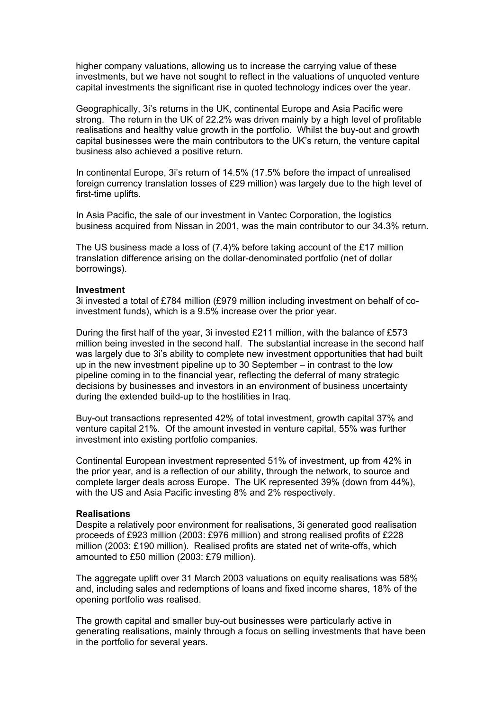higher company valuations, allowing us to increase the carrying value of these investments, but we have not sought to reflect in the valuations of unquoted venture capital investments the significant rise in quoted technology indices over the year.

Geographically, 3i's returns in the UK, continental Europe and Asia Pacific were strong. The return in the UK of 22.2% was driven mainly by a high level of profitable realisations and healthy value growth in the portfolio. Whilst the buy-out and growth capital businesses were the main contributors to the UK's return, the venture capital business also achieved a positive return.

In continental Europe, 3i's return of 14.5% (17.5% before the impact of unrealised foreign currency translation losses of £29 million) was largely due to the high level of first-time uplifts.

In Asia Pacific, the sale of our investment in Vantec Corporation, the logistics business acquired from Nissan in 2001, was the main contributor to our 34.3% return.

The US business made a loss of (7.4)% before taking account of the £17 million translation difference arising on the dollar-denominated portfolio (net of dollar borrowings).

#### **Investment**

3i invested a total of £784 million (£979 million including investment on behalf of coinvestment funds), which is a 9.5% increase over the prior year.

During the first half of the year, 3i invested £211 million, with the balance of £573 million being invested in the second half. The substantial increase in the second half was largely due to 3i's ability to complete new investment opportunities that had built up in the new investment pipeline up to 30 September – in contrast to the low pipeline coming in to the financial year, reflecting the deferral of many strategic decisions by businesses and investors in an environment of business uncertainty during the extended build-up to the hostilities in Iraq.

Buy-out transactions represented 42% of total investment, growth capital 37% and venture capital 21%. Of the amount invested in venture capital, 55% was further investment into existing portfolio companies.

Continental European investment represented 51% of investment, up from 42% in the prior year, and is a reflection of our ability, through the network, to source and complete larger deals across Europe. The UK represented 39% (down from 44%), with the US and Asia Pacific investing 8% and 2% respectively.

#### **Realisations**

Despite a relatively poor environment for realisations, 3i generated good realisation proceeds of £923 million (2003: £976 million) and strong realised profits of £228 million (2003: £190 million). Realised profits are stated net of write-offs, which amounted to £50 million (2003: £79 million).

The aggregate uplift over 31 March 2003 valuations on equity realisations was 58% and, including sales and redemptions of loans and fixed income shares, 18% of the opening portfolio was realised.

The growth capital and smaller buy-out businesses were particularly active in generating realisations, mainly through a focus on selling investments that have been in the portfolio for several years.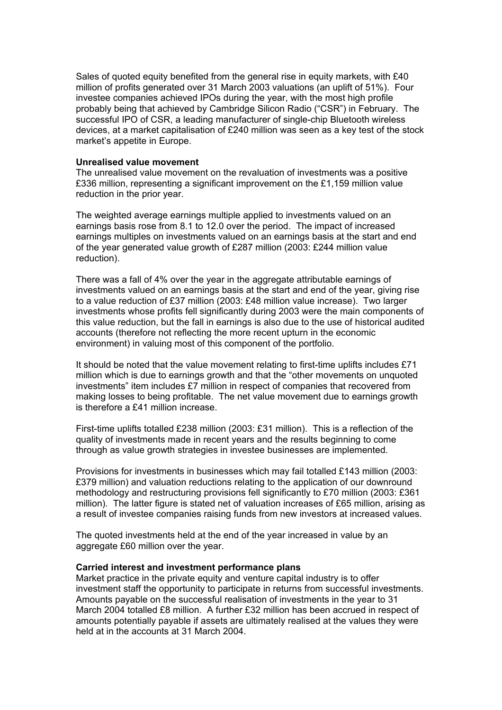Sales of quoted equity benefited from the general rise in equity markets, with £40 million of profits generated over 31 March 2003 valuations (an uplift of 51%). Four investee companies achieved IPOs during the year, with the most high profile probably being that achieved by Cambridge Silicon Radio ("CSR") in February. The successful IPO of CSR, a leading manufacturer of single-chip Bluetooth wireless devices, at a market capitalisation of £240 million was seen as a key test of the stock market's appetite in Europe.

#### **Unrealised value movement**

The unrealised value movement on the revaluation of investments was a positive £336 million, representing a significant improvement on the £1,159 million value reduction in the prior year.

The weighted average earnings multiple applied to investments valued on an earnings basis rose from 8.1 to 12.0 over the period. The impact of increased earnings multiples on investments valued on an earnings basis at the start and end of the year generated value growth of £287 million (2003: £244 million value reduction).

There was a fall of 4% over the year in the aggregate attributable earnings of investments valued on an earnings basis at the start and end of the year, giving rise to a value reduction of £37 million (2003: £48 million value increase). Two larger investments whose profits fell significantly during 2003 were the main components of this value reduction, but the fall in earnings is also due to the use of historical audited accounts (therefore not reflecting the more recent upturn in the economic environment) in valuing most of this component of the portfolio.

It should be noted that the value movement relating to first-time uplifts includes £71 million which is due to earnings growth and that the "other movements on unquoted investments" item includes £7 million in respect of companies that recovered from making losses to being profitable. The net value movement due to earnings growth is therefore a £41 million increase.

First-time uplifts totalled £238 million (2003: £31 million). This is a reflection of the quality of investments made in recent years and the results beginning to come through as value growth strategies in investee businesses are implemented.

Provisions for investments in businesses which may fail totalled £143 million (2003: £379 million) and valuation reductions relating to the application of our downround methodology and restructuring provisions fell significantly to £70 million (2003: £361 million). The latter figure is stated net of valuation increases of £65 million, arising as a result of investee companies raising funds from new investors at increased values.

The quoted investments held at the end of the year increased in value by an aggregate £60 million over the year.

#### **Carried interest and investment performance plans**

Market practice in the private equity and venture capital industry is to offer investment staff the opportunity to participate in returns from successful investments. Amounts payable on the successful realisation of investments in the year to 31 March 2004 totalled £8 million. A further £32 million has been accrued in respect of amounts potentially payable if assets are ultimately realised at the values they were held at in the accounts at 31 March 2004.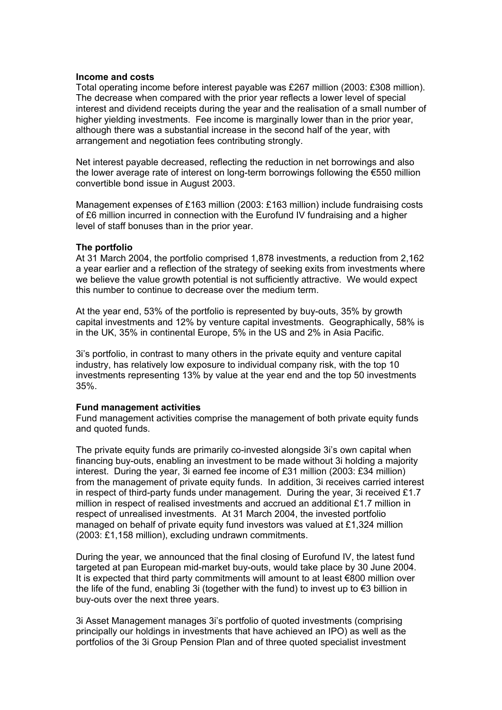#### **Income and costs**

Total operating income before interest payable was £267 million (2003: £308 million). The decrease when compared with the prior year reflects a lower level of special interest and dividend receipts during the year and the realisation of a small number of higher yielding investments. Fee income is marginally lower than in the prior year, although there was a substantial increase in the second half of the year, with arrangement and negotiation fees contributing strongly.

Net interest payable decreased, reflecting the reduction in net borrowings and also the lower average rate of interest on long-term borrowings following the €550 million convertible bond issue in August 2003.

Management expenses of £163 million (2003: £163 million) include fundraising costs of £6 million incurred in connection with the Eurofund IV fundraising and a higher level of staff bonuses than in the prior year.

#### **The portfolio**

At 31 March 2004, the portfolio comprised 1,878 investments, a reduction from 2,162 a year earlier and a reflection of the strategy of seeking exits from investments where we believe the value growth potential is not sufficiently attractive. We would expect this number to continue to decrease over the medium term.

At the year end, 53% of the portfolio is represented by buy-outs, 35% by growth capital investments and 12% by venture capital investments. Geographically, 58% is in the UK, 35% in continental Europe, 5% in the US and 2% in Asia Pacific.

3i's portfolio, in contrast to many others in the private equity and venture capital industry, has relatively low exposure to individual company risk, with the top 10 investments representing 13% by value at the year end and the top 50 investments 35%.

#### **Fund management activities**

Fund management activities comprise the management of both private equity funds and quoted funds.

The private equity funds are primarily co-invested alongside 3i's own capital when financing buy-outs, enabling an investment to be made without 3i holding a majority interest. During the year, 3i earned fee income of £31 million (2003: £34 million) from the management of private equity funds. In addition, 3i receives carried interest in respect of third-party funds under management. During the year, 3i received £1.7 million in respect of realised investments and accrued an additional £1.7 million in respect of unrealised investments. At 31 March 2004, the invested portfolio managed on behalf of private equity fund investors was valued at £1,324 million (2003: £1,158 million), excluding undrawn commitments.

During the year, we announced that the final closing of Eurofund IV, the latest fund targeted at pan European mid-market buy-outs, would take place by 30 June 2004. It is expected that third party commitments will amount to at least €800 million over the life of the fund, enabling 3i (together with the fund) to invest up to €3 billion in buy-outs over the next three years.

3i Asset Management manages 3i's portfolio of quoted investments (comprising principally our holdings in investments that have achieved an IPO) as well as the portfolios of the 3i Group Pension Plan and of three quoted specialist investment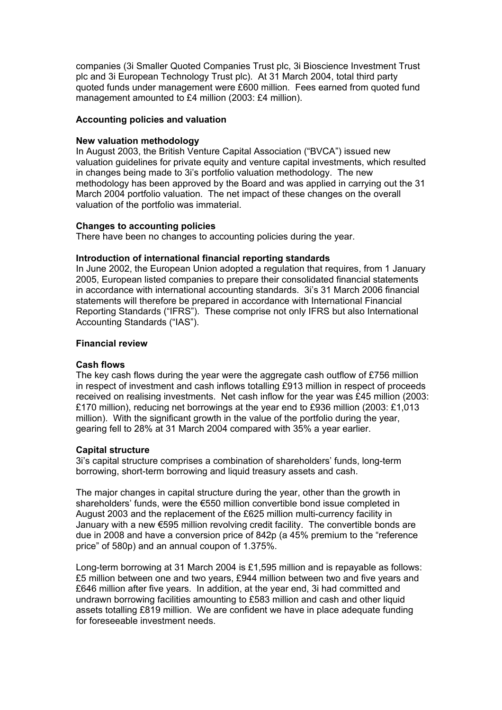companies (3i Smaller Quoted Companies Trust plc, 3i Bioscience Investment Trust plc and 3i European Technology Trust plc). At 31 March 2004, total third party quoted funds under management were £600 million. Fees earned from quoted fund management amounted to £4 million (2003: £4 million).

#### **Accounting policies and valuation**

#### **New valuation methodology**

In August 2003, the British Venture Capital Association ("BVCA") issued new valuation guidelines for private equity and venture capital investments, which resulted in changes being made to 3i's portfolio valuation methodology. The new methodology has been approved by the Board and was applied in carrying out the 31 March 2004 portfolio valuation. The net impact of these changes on the overall valuation of the portfolio was immaterial.

#### **Changes to accounting policies**

There have been no changes to accounting policies during the year.

#### **Introduction of international financial reporting standards**

In June 2002, the European Union adopted a regulation that requires, from 1 January 2005, European listed companies to prepare their consolidated financial statements in accordance with international accounting standards. 3i's 31 March 2006 financial statements will therefore be prepared in accordance with International Financial Reporting Standards ("IFRS"). These comprise not only IFRS but also International Accounting Standards ("IAS").

#### **Financial review**

#### **Cash flows**

The key cash flows during the year were the aggregate cash outflow of £756 million in respect of investment and cash inflows totalling £913 million in respect of proceeds received on realising investments. Net cash inflow for the year was £45 million (2003: £170 million), reducing net borrowings at the year end to £936 million (2003: £1,013 million). With the significant growth in the value of the portfolio during the year, gearing fell to 28% at 31 March 2004 compared with 35% a year earlier.

#### **Capital structure**

3i's capital structure comprises a combination of shareholders' funds, long-term borrowing, short-term borrowing and liquid treasury assets and cash.

The major changes in capital structure during the year, other than the growth in shareholders' funds, were the €550 million convertible bond issue completed in August 2003 and the replacement of the £625 million multi-currency facility in January with a new €595 million revolving credit facility. The convertible bonds are due in 2008 and have a conversion price of 842p (a 45% premium to the "reference price" of 580p) and an annual coupon of 1.375%.

Long-term borrowing at 31 March 2004 is £1,595 million and is repayable as follows: £5 million between one and two years, £944 million between two and five years and £646 million after five years. In addition, at the year end, 3i had committed and undrawn borrowing facilities amounting to £583 million and cash and other liquid assets totalling £819 million. We are confident we have in place adequate funding for foreseeable investment needs.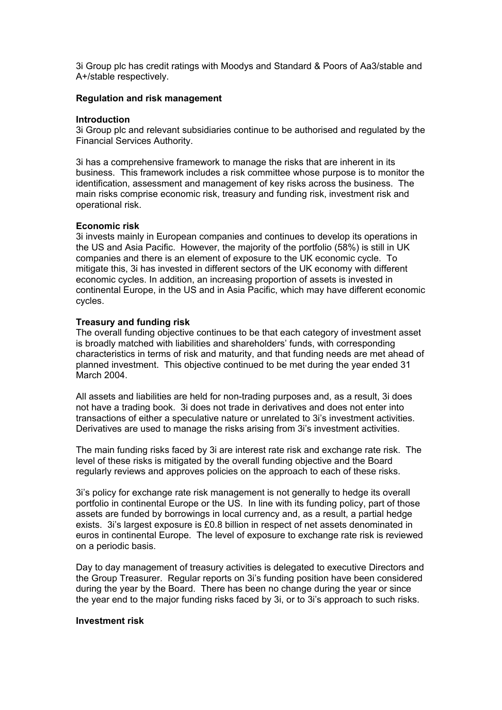3i Group plc has credit ratings with Moodys and Standard & Poors of Aa3/stable and A+/stable respectively.

#### **Regulation and risk management**

#### **Introduction**

3i Group plc and relevant subsidiaries continue to be authorised and regulated by the Financial Services Authority.

3i has a comprehensive framework to manage the risks that are inherent in its business. This framework includes a risk committee whose purpose is to monitor the identification, assessment and management of key risks across the business. The main risks comprise economic risk, treasury and funding risk, investment risk and operational risk.

#### **Economic risk**

3i invests mainly in European companies and continues to develop its operations in the US and Asia Pacific. However, the majority of the portfolio (58%) is still in UK companies and there is an element of exposure to the UK economic cycle. To mitigate this, 3i has invested in different sectors of the UK economy with different economic cycles. In addition, an increasing proportion of assets is invested in continental Europe, in the US and in Asia Pacific, which may have different economic cycles.

#### **Treasury and funding risk**

The overall funding objective continues to be that each category of investment asset is broadly matched with liabilities and shareholders' funds, with corresponding characteristics in terms of risk and maturity, and that funding needs are met ahead of planned investment. This objective continued to be met during the year ended 31 March 2004.

All assets and liabilities are held for non-trading purposes and, as a result, 3i does not have a trading book. 3i does not trade in derivatives and does not enter into transactions of either a speculative nature or unrelated to 3i's investment activities. Derivatives are used to manage the risks arising from 3i's investment activities.

The main funding risks faced by 3i are interest rate risk and exchange rate risk. The level of these risks is mitigated by the overall funding objective and the Board regularly reviews and approves policies on the approach to each of these risks.

3i's policy for exchange rate risk management is not generally to hedge its overall portfolio in continental Europe or the US. In line with its funding policy, part of those assets are funded by borrowings in local currency and, as a result, a partial hedge exists. 3i's largest exposure is £0.8 billion in respect of net assets denominated in euros in continental Europe. The level of exposure to exchange rate risk is reviewed on a periodic basis.

Day to day management of treasury activities is delegated to executive Directors and the Group Treasurer. Regular reports on 3i's funding position have been considered during the year by the Board. There has been no change during the year or since the year end to the major funding risks faced by 3i, or to 3i's approach to such risks.

#### **Investment risk**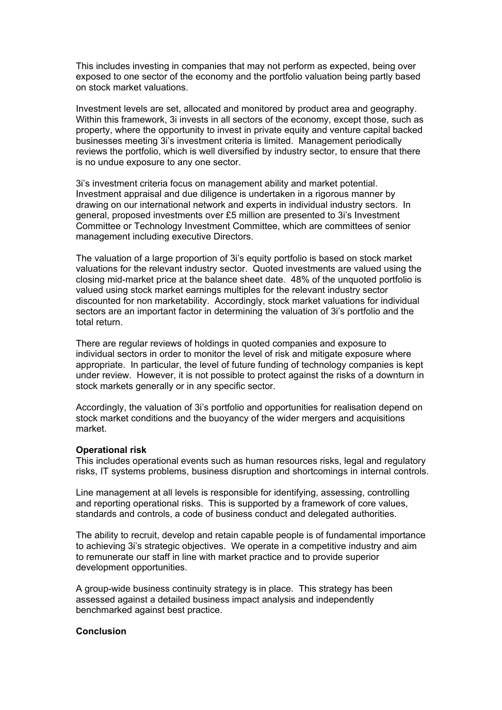This includes investing in companies that may not perform as expected, being over exposed to one sector of the economy and the portfolio valuation being partly based on stock market valuations.

Investment levels are set, allocated and monitored by product area and geography. Within this framework, 3i invests in all sectors of the economy, except those, such as property, where the opportunity to invest in private equity and venture capital backed businesses meeting 3i's investment criteria is limited. Management periodically reviews the portfolio, which is well diversified by industry sector, to ensure that there is no undue exposure to any one sector.

3i's investment criteria focus on management ability and market potential. Investment appraisal and due diligence is undertaken in a rigorous manner by drawing on our international network and experts in individual industry sectors. In general, proposed investments over £5 million are presented to 3i's Investment Committee or Technology Investment Committee, which are committees of senior management including executive Directors.

The valuation of a large proportion of 3i's equity portfolio is based on stock market valuations for the relevant industry sector. Quoted investments are valued using the closing mid-market price at the balance sheet date. 48% of the unquoted portfolio is valued using stock market earnings multiples for the relevant industry sector discounted for non marketability. Accordingly, stock market valuations for individual sectors are an important factor in determining the valuation of 3i's portfolio and the total return.

There are regular reviews of holdings in quoted companies and exposure to individual sectors in order to monitor the level of risk and mitigate exposure where appropriate. In particular, the level of future funding of technology companies is kept under review. However, it is not possible to protect against the risks of a downturn in stock markets generally or in any specific sector.

Accordingly, the valuation of 3i's portfolio and opportunities for realisation depend on stock market conditions and the buoyancy of the wider mergers and acquisitions market.

#### **Operational risk**

This includes operational events such as human resources risks, legal and regulatory risks, IT systems problems, business disruption and shortcomings in internal controls.

Line management at all levels is responsible for identifying, assessing, controlling and reporting operational risks. This is supported by a framework of core values, standards and controls, a code of business conduct and delegated authorities.

The ability to recruit, develop and retain capable people is of fundamental importance to achieving 3i's strategic objectives. We operate in a competitive industry and aim to remunerate our staff in line with market practice and to provide superior development opportunities.

A group-wide business continuity strategy is in place. This strategy has been assessed against a detailed business impact analysis and independently benchmarked against best practice.

#### **Conclusion**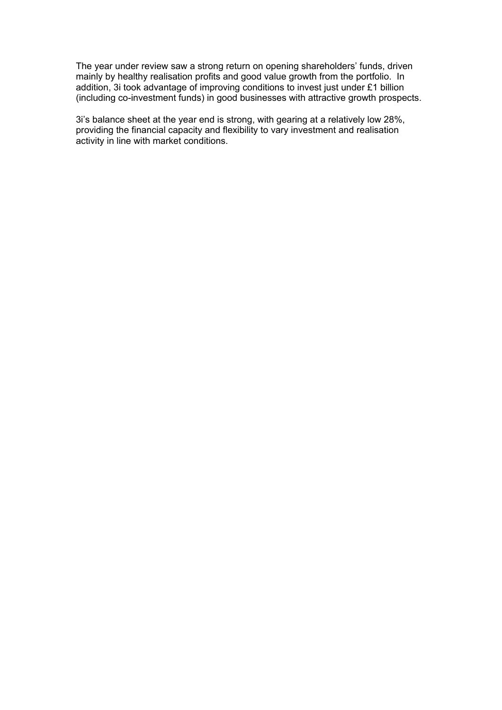The year under review saw a strong return on opening shareholders' funds, driven mainly by healthy realisation profits and good value growth from the portfolio. In addition, 3i took advantage of improving conditions to invest just under £1 billion (including co-investment funds) in good businesses with attractive growth prospects.

3i's balance sheet at the year end is strong, with gearing at a relatively low 28%, providing the financial capacity and flexibility to vary investment and realisation activity in line with market conditions.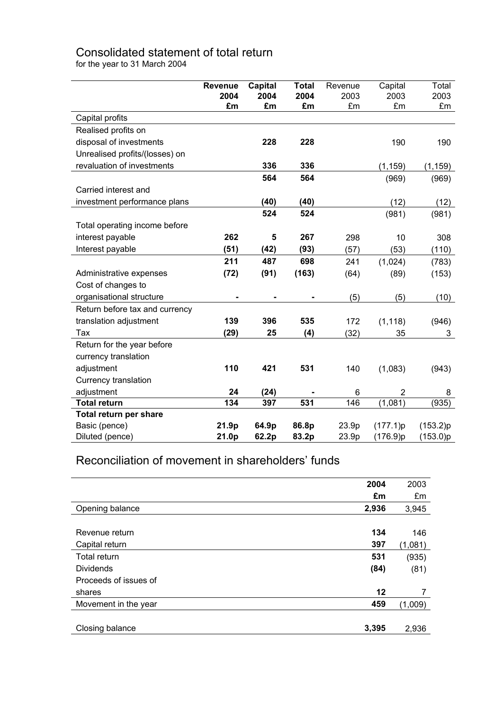# Consolidated statement of total return

for the year to 31 March 2004

|                                | <b>Revenue</b> | <b>Capital</b> | <b>Total</b> | Revenue | Capital        | Total    |
|--------------------------------|----------------|----------------|--------------|---------|----------------|----------|
|                                | 2004           | 2004           | 2004         | 2003    | 2003           | 2003     |
|                                | £m             | £m             | £m           | £m      | £m             | £m       |
| Capital profits                |                |                |              |         |                |          |
| Realised profits on            |                |                |              |         |                |          |
| disposal of investments        |                | 228            | 228          |         | 190            | 190      |
| Unrealised profits/(losses) on |                |                |              |         |                |          |
| revaluation of investments     |                | 336            | 336          |         | (1, 159)       | (1, 159) |
|                                |                | 564            | 564          |         | (969)          | (969)    |
| Carried interest and           |                |                |              |         |                |          |
| investment performance plans   |                | (40)           | (40)         |         | (12)           | (12)     |
|                                |                | 524            | 524          |         | (981)          | (981)    |
| Total operating income before  |                |                |              |         |                |          |
| interest payable               | 262            | 5              | 267          | 298     | 10             | 308      |
| Interest payable               | (51)           | (42)           | (93)         | (57)    | (53)           | (110)    |
|                                | 211            | 487            | 698          | 241     | (1,024)        | (783)    |
| Administrative expenses        | (72)           | (91)           | (163)        | (64)    | (89)           | (153)    |
| Cost of changes to             |                |                |              |         |                |          |
| organisational structure       |                |                |              | (5)     | (5)            | (10)     |
| Return before tax and currency |                |                |              |         |                |          |
| translation adjustment         | 139            | 396            | 535          | 172     | (1, 118)       | (946)    |
| Tax                            | (29)           | 25             | (4)          | (32)    | 35             | 3        |
| Return for the year before     |                |                |              |         |                |          |
| currency translation           |                |                |              |         |                |          |
| adjustment                     | 110            | 421            | 531          | 140     | (1,083)        | (943)    |
| Currency translation           |                |                |              |         |                |          |
| adjustment                     | 24             | (24)           |              | 6       | $\overline{2}$ | 8        |
| <b>Total return</b>            | 134            | 397            | 531          | 146     | (1,081)        | (935)    |
| <b>Total return per share</b>  |                |                |              |         |                |          |
| Basic (pence)                  | 21.9p          | 64.9p          | 86.8p        | 23.9p   | (177.1)p       | (153.2)p |
| Diluted (pence)                | 21.0p          | 62.2p          | 83.2p        | 23.9p   | (176.9)p       | (153.0)p |

# Reconciliation of movement in shareholders' funds

|                       | 2004  | 2003    |
|-----------------------|-------|---------|
|                       | £m    | £m      |
| Opening balance       | 2,936 | 3,945   |
|                       |       |         |
| Revenue return        | 134   | 146     |
| Capital return        | 397   | (1,081) |
| Total return          | 531   | (935)   |
| <b>Dividends</b>      | (84)  | (81)    |
| Proceeds of issues of |       |         |
| shares                | 12    | 7       |
| Movement in the year  | 459   | (1,009) |
|                       |       |         |
| Closing balance       | 3,395 | 2,936   |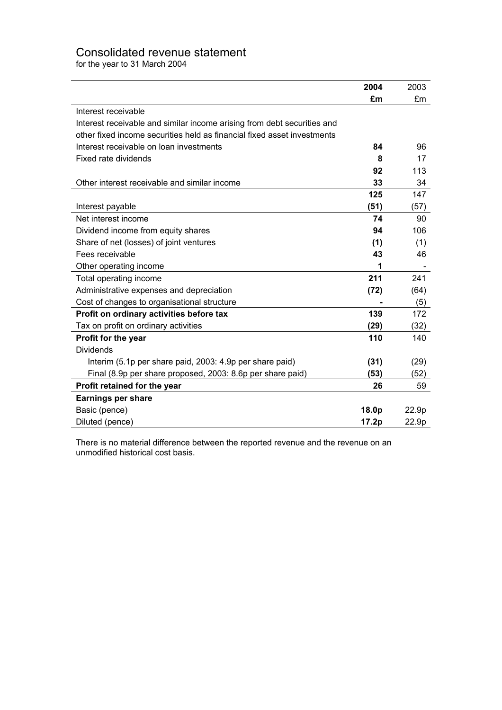# Consolidated revenue statement

for the year to 31 March 2004

|                                                                         | 2004  | 2003  |
|-------------------------------------------------------------------------|-------|-------|
|                                                                         | £m    | £m    |
| Interest receivable                                                     |       |       |
| Interest receivable and similar income arising from debt securities and |       |       |
| other fixed income securities held as financial fixed asset investments |       |       |
| Interest receivable on loan investments                                 | 84    | 96    |
| Fixed rate dividends                                                    | 8     | 17    |
|                                                                         | 92    | 113   |
| Other interest receivable and similar income                            | 33    | 34    |
|                                                                         | 125   | 147   |
| Interest payable                                                        | (51)  | (57)  |
| Net interest income                                                     | 74    | 90    |
| Dividend income from equity shares                                      | 94    | 106   |
| Share of net (losses) of joint ventures                                 | (1)   | (1)   |
| Fees receivable                                                         | 43    | 46    |
| Other operating income                                                  | 1     |       |
| Total operating income                                                  | 211   | 241   |
| Administrative expenses and depreciation                                | (72)  | (64)  |
| Cost of changes to organisational structure                             |       | (5)   |
| Profit on ordinary activities before tax                                | 139   | 172   |
| Tax on profit on ordinary activities                                    | (29)  | (32)  |
| Profit for the year                                                     | 110   | 140   |
| <b>Dividends</b>                                                        |       |       |
| Interim (5.1p per share paid, 2003: 4.9p per share paid)                | (31)  | (29)  |
| Final (8.9p per share proposed, 2003: 8.6p per share paid)              | (53)  | (52)  |
| Profit retained for the year                                            | 26    | 59    |
| <b>Earnings per share</b>                                               |       |       |
| Basic (pence)                                                           | 18.0p | 22.9p |
| Diluted (pence)                                                         | 17.2p | 22.9p |

There is no material difference between the reported revenue and the revenue on an unmodified historical cost basis.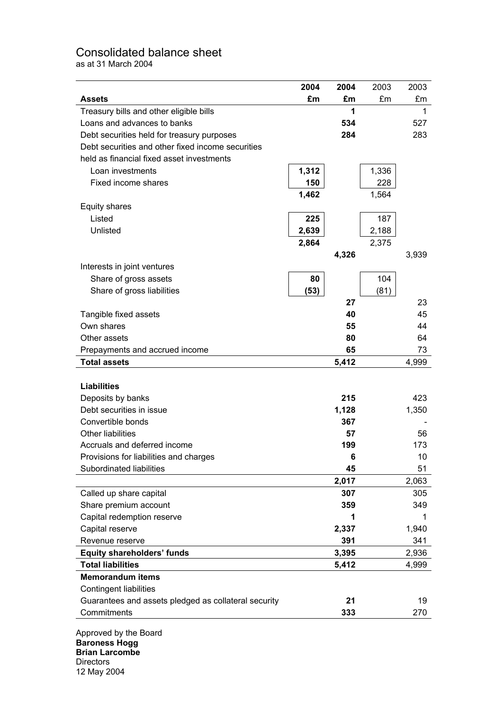# Consolidated balance sheet

as at 31 March 2004

|                                                      | 2004  | 2004  | 2003  | 2003  |
|------------------------------------------------------|-------|-------|-------|-------|
| <b>Assets</b>                                        | £m    | £m    | £m    | £m    |
| Treasury bills and other eligible bills              |       | 1     |       | 1     |
| Loans and advances to banks                          |       | 534   |       | 527   |
| Debt securities held for treasury purposes           |       | 284   |       | 283   |
| Debt securities and other fixed income securities    |       |       |       |       |
| held as financial fixed asset investments            |       |       |       |       |
| Loan investments                                     | 1,312 |       | 1,336 |       |
| Fixed income shares                                  | 150   |       | 228   |       |
|                                                      | 1,462 |       | 1,564 |       |
| <b>Equity shares</b>                                 |       |       |       |       |
| Listed                                               | 225   |       | 187   |       |
| Unlisted                                             | 2,639 |       | 2,188 |       |
|                                                      | 2,864 |       | 2,375 |       |
|                                                      |       | 4,326 |       | 3,939 |
| Interests in joint ventures                          |       |       |       |       |
| Share of gross assets                                | 80    |       | 104   |       |
| Share of gross liabilities                           | (53)  |       | (81)  |       |
|                                                      |       | 27    |       | 23    |
| Tangible fixed assets                                |       | 40    |       | 45    |
| Own shares                                           |       | 55    |       | 44    |
| Other assets                                         |       | 80    |       | 64    |
| Prepayments and accrued income                       |       | 65    |       | 73    |
| <b>Total assets</b>                                  |       | 5,412 |       | 4,999 |
|                                                      |       |       |       |       |
| <b>Liabilities</b>                                   |       |       |       |       |
| Deposits by banks                                    |       | 215   |       | 423   |
| Debt securities in issue                             |       | 1,128 |       | 1,350 |
| Convertible bonds                                    |       | 367   |       |       |
| <b>Other liabilities</b>                             |       | 57    |       | 56    |
| Accruals and deferred income                         |       | 199   |       | 173   |
| Provisions for liabilities and charges               |       | 6     |       | 10    |
| Subordinated liabilities                             |       | 45    |       | 51    |
|                                                      |       | 2,017 |       | 2,063 |
| Called up share capital                              |       | 307   |       | 305   |
| Share premium account                                |       | 359   |       | 349   |
| Capital redemption reserve                           |       |       |       |       |
| Capital reserve                                      |       | 2,337 |       | 1,940 |
| Revenue reserve                                      |       | 391   |       | 341   |
| <b>Equity shareholders' funds</b>                    |       | 3,395 |       | 2,936 |
| <b>Total liabilities</b>                             |       | 5,412 |       | 4,999 |
| <b>Memorandum items</b>                              |       |       |       |       |
| <b>Contingent liabilities</b>                        |       |       |       |       |
| Guarantees and assets pledged as collateral security |       | 21    |       | 19    |
| Commitments                                          |       | 333   |       | 270   |
| Annroved by the Roard                                |       |       |       |       |

Approved by the Board **Baroness Hogg Brian Larcombe Directors** 12 May 2004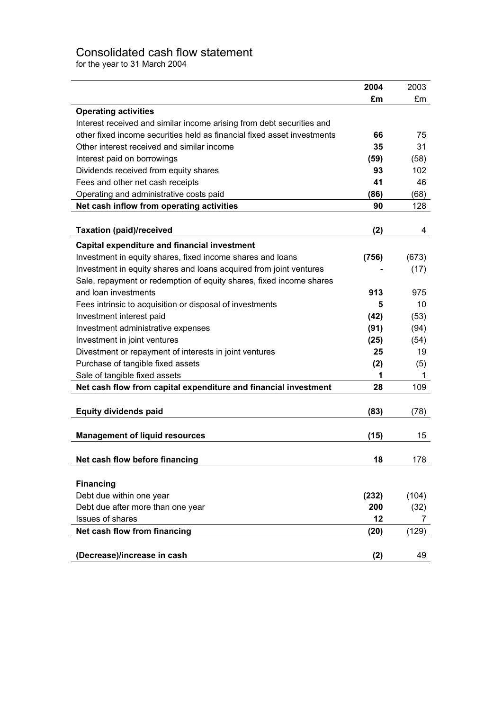# Consolidated cash flow statement

for the year to 31 March 2004

|                                                                         | 2004  | 2003  |
|-------------------------------------------------------------------------|-------|-------|
|                                                                         | £m    | £m    |
| <b>Operating activities</b>                                             |       |       |
| Interest received and similar income arising from debt securities and   |       |       |
| other fixed income securities held as financial fixed asset investments | 66    | 75    |
| Other interest received and similar income                              | 35    | 31    |
| Interest paid on borrowings                                             | (59)  | (58)  |
| Dividends received from equity shares                                   | 93    | 102   |
| Fees and other net cash receipts                                        | 41    | 46    |
| Operating and administrative costs paid                                 | (86)  | (68)  |
| Net cash inflow from operating activities                               | 90    | 128   |
|                                                                         |       |       |
| <b>Taxation (paid)/received</b>                                         | (2)   | 4     |
| <b>Capital expenditure and financial investment</b>                     |       |       |
| Investment in equity shares, fixed income shares and loans              | (756) | (673) |
| Investment in equity shares and loans acquired from joint ventures      |       | (17)  |
| Sale, repayment or redemption of equity shares, fixed income shares     |       |       |
| and loan investments                                                    | 913   | 975   |
| Fees intrinsic to acquisition or disposal of investments                | 5     | 10    |
| Investment interest paid                                                | (42)  | (53)  |
| Investment administrative expenses                                      | (91)  | (94)  |
| Investment in joint ventures                                            | (25)  | (54)  |
| Divestment or repayment of interests in joint ventures                  | 25    | 19    |
| Purchase of tangible fixed assets                                       | (2)   | (5)   |
| Sale of tangible fixed assets                                           | 1     | 1     |
| Net cash flow from capital expenditure and financial investment         | 28    | 109   |
|                                                                         |       |       |
| <b>Equity dividends paid</b>                                            | (83)  | (78)  |
|                                                                         |       |       |
| <b>Management of liquid resources</b>                                   | (15)  | 15    |
|                                                                         |       |       |
| Net cash flow before financing                                          | 18    | 178   |
|                                                                         |       |       |
| <b>Financing</b>                                                        |       |       |
| Debt due within one year                                                | (232) | (104) |
| Debt due after more than one year                                       | 200   | (32)  |
| <b>Issues of shares</b>                                                 | 12    | 7     |
| Net cash flow from financing                                            | (20)  | (129) |
|                                                                         |       |       |
| (Decrease)/increase in cash                                             | (2)   | 49    |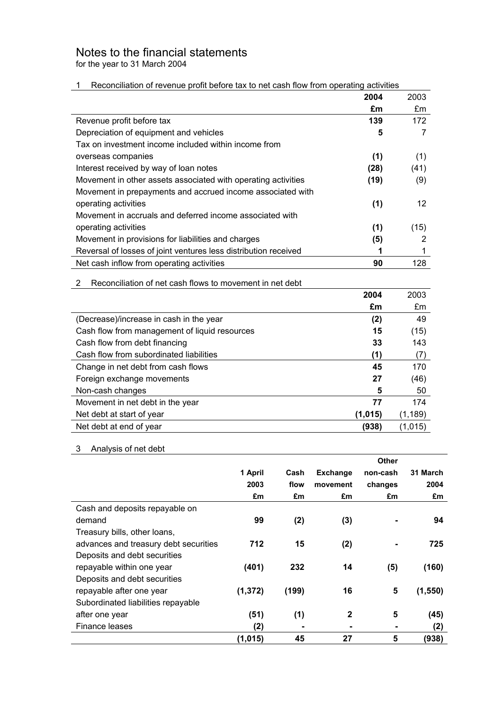# Notes to the financial statements

for the year to 31 March 2004

#### 1 Reconciliation of revenue profit before tax to net cash flow from operating activities

|                                                                 | 2004 | 2003 |
|-----------------------------------------------------------------|------|------|
|                                                                 | £m   | £m   |
| Revenue profit before tax                                       | 139  | 172  |
| Depreciation of equipment and vehicles                          | 5    |      |
| Tax on investment income included within income from            |      |      |
| overseas companies                                              | (1)  | (1)  |
| Interest received by way of loan notes                          | (28) | (41) |
| Movement in other assets associated with operating activities   | (19) | (9)  |
| Movement in prepayments and accrued income associated with      |      |      |
| operating activities                                            | (1)  | 12   |
| Movement in accruals and deferred income associated with        |      |      |
| operating activities                                            | (1)  | (15) |
| Movement in provisions for liabilities and charges              | (5)  | 2    |
| Reversal of losses of joint ventures less distribution received | 1    |      |
| Net cash inflow from operating activities                       | 90   | 128  |

| 2 Reconciliation of net cash flows to movement in net debt |
|------------------------------------------------------------|
|                                                            |

|                                               | 2004    | 2003     |
|-----------------------------------------------|---------|----------|
|                                               | £m      | £m       |
| (Decrease)/increase in cash in the year       | (2)     | 49       |
| Cash flow from management of liquid resources | 15      | (15)     |
| Cash flow from debt financing                 | 33      | 143      |
| Cash flow from subordinated liabilities       | (1)     | (7)      |
| Change in net debt from cash flows            | 45      | 170      |
| Foreign exchange movements                    | 27      | (46)     |
| Non-cash changes                              | 5       | 50       |
| Movement in net debt in the year              | 77      | 174      |
| Net debt at start of year                     | (1,015) | (1, 189) |
| Net debt at end of year                       | (938)   | (1,015)  |

# 3 Analysis of net debt

|                                       |          |                |                 | <b>Other</b> |          |
|---------------------------------------|----------|----------------|-----------------|--------------|----------|
|                                       | 1 April  | Cash           | <b>Exchange</b> | non-cash     | 31 March |
|                                       | 2003     | flow           | movement        | changes      | 2004     |
|                                       | £m       | £m             | £m              | £m           | £m       |
| Cash and deposits repayable on        |          |                |                 |              |          |
| demand                                | 99       | (2)            | (3)             |              | 94       |
| Treasury bills, other loans,          |          |                |                 |              |          |
| advances and treasury debt securities | 712      | 15             | (2)             |              | 725      |
| Deposits and debt securities          |          |                |                 |              |          |
| repayable within one year             | (401)    | 232            | 14              | (5)          | (160)    |
| Deposits and debt securities          |          |                |                 |              |          |
| repayable after one year              | (1, 372) | (199)          | 16              | 5            | (1,550)  |
| Subordinated liabilities repayable    |          |                |                 |              |          |
| after one year                        | (51)     | (1)            | $\mathbf{2}$    | 5            | (45)     |
| Finance leases                        | (2)      | $\blacksquare$ |                 |              | (2)      |
|                                       | (1, 015) | 45             | 27              | 5            | (938)    |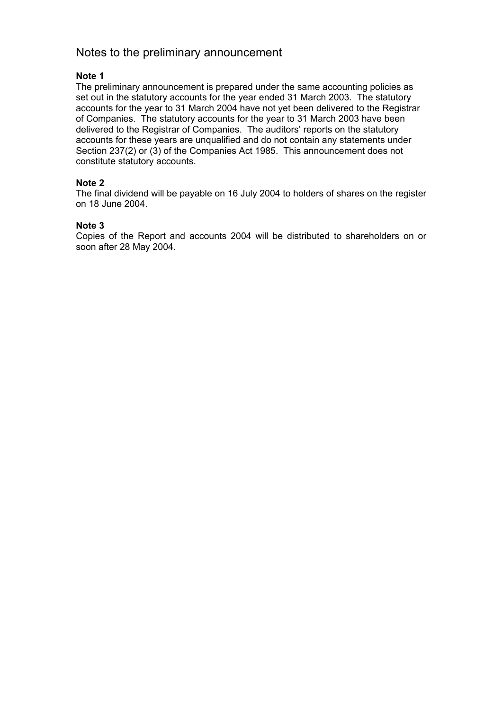### Notes to the preliminary announcement

#### **Note 1**

The preliminary announcement is prepared under the same accounting policies as set out in the statutory accounts for the year ended 31 March 2003. The statutory accounts for the year to 31 March 2004 have not yet been delivered to the Registrar of Companies. The statutory accounts for the year to 31 March 2003 have been delivered to the Registrar of Companies. The auditors' reports on the statutory accounts for these years are unqualified and do not contain any statements under Section 237(2) or (3) of the Companies Act 1985. This announcement does not constitute statutory accounts.

#### **Note 2**

The final dividend will be payable on 16 July 2004 to holders of shares on the register on 18 June 2004.

#### **Note 3**

Copies of the Report and accounts 2004 will be distributed to shareholders on or soon after 28 May 2004.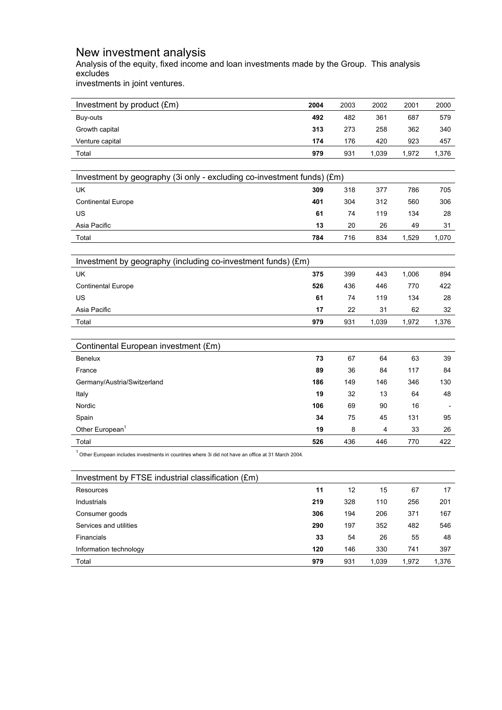### New investment analysis

Analysis of the equity, fixed income and loan investments made by the Group. This analysis excludes

investments in joint ventures.

| Investment by product (£m)                                                                             | 2004 | 2003 | 2002  | 2001  | 2000  |
|--------------------------------------------------------------------------------------------------------|------|------|-------|-------|-------|
| Buy-outs                                                                                               | 492  | 482  | 361   | 687   | 579   |
| Growth capital                                                                                         | 313  | 273  | 258   | 362   | 340   |
| Venture capital                                                                                        | 174  | 176  | 420   | 923   | 457   |
| Total                                                                                                  | 979  | 931  | 1,039 | 1,972 | 1,376 |
|                                                                                                        |      |      |       |       |       |
| Investment by geography (3i only - excluding co-investment funds) (£m)                                 |      |      |       |       |       |
| UK                                                                                                     | 309  | 318  | 377   | 786   | 705   |
| <b>Continental Europe</b>                                                                              | 401  | 304  | 312   | 560   | 306   |
| US                                                                                                     | 61   | 74   | 119   | 134   | 28    |
| Asia Pacific                                                                                           | 13   | 20   | 26    | 49    | 31    |
| Total                                                                                                  | 784  | 716  | 834   | 1,529 | 1,070 |
|                                                                                                        |      |      |       |       |       |
| Investment by geography (including co-investment funds) (£m)                                           |      |      |       |       |       |
| UK                                                                                                     | 375  | 399  | 443   | 1,006 | 894   |
| <b>Continental Europe</b>                                                                              | 526  | 436  | 446   | 770   | 422   |
| US                                                                                                     | 61   | 74   | 119   | 134   | 28    |
| Asia Pacific                                                                                           | 17   | 22   | 31    | 62    | 32    |
| Total                                                                                                  | 979  | 931  | 1,039 | 1,972 | 1,376 |
|                                                                                                        |      |      |       |       |       |
| Continental European investment (£m)                                                                   |      |      |       |       |       |
| Benelux                                                                                                | 73   | 67   | 64    | 63    | 39    |
| France                                                                                                 | 89   | 36   | 84    | 117   | 84    |
| Germany/Austria/Switzerland                                                                            | 186  | 149  | 146   | 346   | 130   |
| Italy                                                                                                  | 19   | 32   | 13    | 64    | 48    |
| Nordic                                                                                                 | 106  | 69   | 90    | 16    |       |
| Spain                                                                                                  | 34   | 75   | 45    | 131   | 95    |
| Other European <sup>1</sup>                                                                            | 19   | 8    | 4     | 33    | 26    |
| Total                                                                                                  | 526  | 436  | 446   | 770   | 422   |
| $1$ Other European includes investments in countries where 3i did not have an office at 31 March 2004. |      |      |       |       |       |
| Investment by FTSE industrial classification (£m)                                                      |      |      |       |       |       |
| Resources                                                                                              | 11   | 12   | 15    | 67    | 17    |
| Industrials                                                                                            | 219  | 328  | 110   | 256   | 201   |
| Consumer goods                                                                                         | 306  | 194  | 206   | 371   | 167   |

| Total                  | 979 | 931 | .039 | 1,972 | 1,376 |
|------------------------|-----|-----|------|-------|-------|
| Information technology | 120 | 146 | 330  | 741   | 397   |
| <b>Financials</b>      | 33  | 54  | 26   | 55    | 48    |
| Services and utilities | 290 | 197 | 352  | 482   | 546   |
| Consumer goods         | 306 | 194 | 206  | 371   | 167   |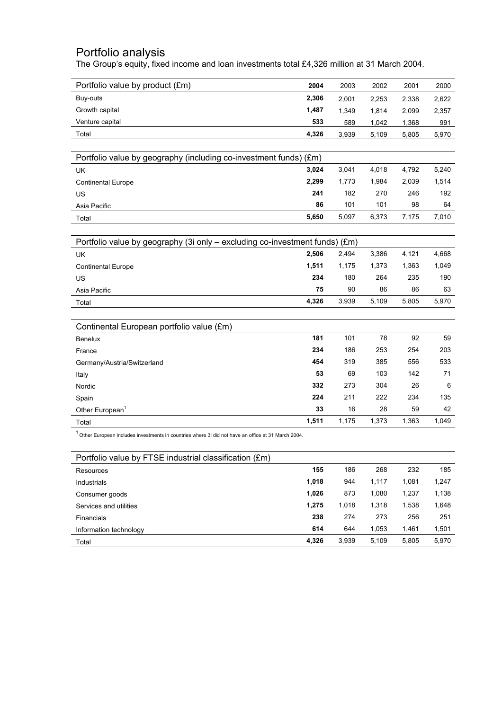### Portfolio analysis

The Group's equity, fixed income and loan investments total £4,326 million at 31 March 2004.

| Portfolio value by product (£m)                                                                        | 2004  | 2003  | 2002  | 2001  | 2000  |
|--------------------------------------------------------------------------------------------------------|-------|-------|-------|-------|-------|
| Buy-outs                                                                                               | 2,306 | 2,001 | 2,253 | 2,338 | 2,622 |
| Growth capital                                                                                         | 1,487 | 1,349 | 1,814 | 2,099 | 2,357 |
| Venture capital                                                                                        | 533   | 589   | 1,042 | 1,368 | 991   |
| Total                                                                                                  | 4,326 | 3,939 | 5,109 | 5,805 | 5,970 |
|                                                                                                        |       |       |       |       |       |
| Portfolio value by geography (including co-investment funds) (£m)                                      |       |       |       |       |       |
| <b>UK</b>                                                                                              | 3,024 | 3,041 | 4,018 | 4,792 | 5,240 |
| <b>Continental Europe</b>                                                                              | 2,299 | 1,773 | 1,984 | 2,039 | 1,514 |
| US                                                                                                     | 241   | 182   | 270   | 246   | 192   |
| Asia Pacific                                                                                           | 86    | 101   | 101   | 98    | 64    |
| Total                                                                                                  | 5,650 | 5,097 | 6,373 | 7,175 | 7,010 |
|                                                                                                        |       |       |       |       |       |
| Portfolio value by geography (3i only - excluding co-investment funds) (£m)                            |       |       |       |       |       |
| UK                                                                                                     | 2,506 | 2,494 | 3,386 | 4,121 | 4,668 |
| <b>Continental Europe</b>                                                                              | 1,511 | 1,175 | 1,373 | 1,363 | 1,049 |
| US                                                                                                     | 234   | 180   | 264   | 235   | 190   |
| Asia Pacific                                                                                           | 75    | 90    | 86    | 86    | 63    |
| Total                                                                                                  | 4,326 | 3,939 | 5,109 | 5,805 | 5,970 |
|                                                                                                        |       |       |       |       |       |
| Continental European portfolio value (£m)                                                              |       |       |       |       |       |
| Benelux                                                                                                | 181   | 101   | 78    | 92    | 59    |
| France                                                                                                 | 234   | 186   | 253   | 254   | 203   |
| Germany/Austria/Switzerland                                                                            | 454   | 319   | 385   | 556   | 533   |
| Italy                                                                                                  | 53    | 69    | 103   | 142   | 71    |
| Nordic                                                                                                 | 332   | 273   | 304   | 26    | 6     |
| Spain                                                                                                  | 224   | 211   | 222   | 234   | 135   |
| Other European <sup>1</sup>                                                                            | 33    | 16    | 28    | 59    | 42    |
| Total                                                                                                  | 1,511 | 1,175 | 1,373 | 1,363 | 1,049 |
| $1$ Other European includes investments in countries where 3i did not have an office at 31 March 2004. |       |       |       |       |       |
|                                                                                                        |       |       |       |       |       |
| Portfolio value by FTSE industrial classification (£m)                                                 |       |       |       |       |       |
| <b>Resources</b>                                                                                       | 155   | 186   | 268   | 232   | 185   |
| Industrials                                                                                            | 1,018 | 944   | 1,117 | 1,081 | 1,247 |
| Consumer goods                                                                                         | 1,026 | 873   | 1,080 | 1,237 | 1,138 |
| Services and utilities                                                                                 | 1,275 | 1,018 | 1,318 | 1,538 | 1,648 |
| Financials                                                                                             | 238   | 274   | 273   | 256   | 251   |
| Information technology                                                                                 | 614   | 644   | 1,053 | 1,461 | 1,501 |

Total **4,326** 3,939 5,109 5,805 5,970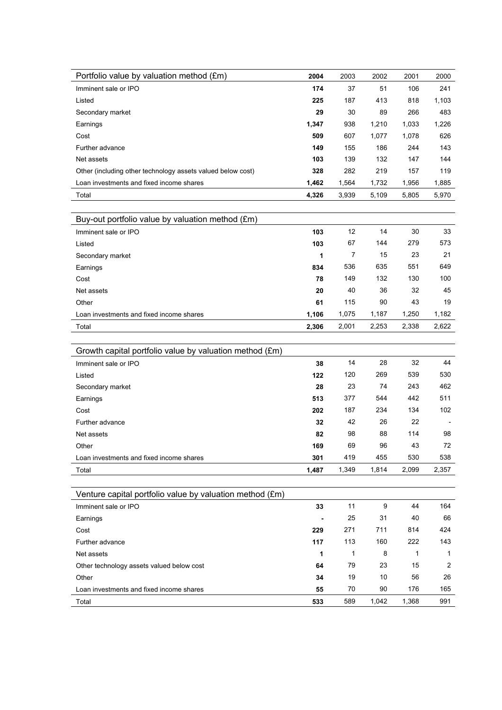| Portfolio value by valuation method (£m)                    | 2004  | 2003  | 2002  | 2001  | 2000  |
|-------------------------------------------------------------|-------|-------|-------|-------|-------|
| Imminent sale or IPO                                        | 174   | 37    | 51    | 106   | 241   |
| Listed                                                      | 225   | 187   | 413   | 818   | 1,103 |
| Secondary market                                            | 29    | 30    | 89    | 266   | 483   |
| Earnings                                                    | 1,347 | 938   | 1,210 | 1,033 | 1,226 |
| Cost                                                        | 509   | 607   | 1,077 | 1,078 | 626   |
| Further advance                                             | 149   | 155   | 186   | 244   | 143   |
| Net assets                                                  | 103   | 139   | 132   | 147   | 144   |
| Other (including other technology assets valued below cost) | 328   | 282   | 219   | 157   | 119   |
| Loan investments and fixed income shares                    | 1,462 | 1,564 | 1,732 | 1,956 | 1,885 |
| Total                                                       | 4,326 | 3,939 | 5,109 | 5,805 | 5,970 |
|                                                             |       |       |       |       |       |
| Buy-out portfolio value by valuation method (£m)            |       |       |       |       |       |
| Imminent sale or IPO                                        | 103   | 12    | 14    | 30    | 33    |
| Listed                                                      | 103   | 67    | 144   | 279   | 573   |
| Secondary market                                            | 1     | 7     | 15    | 23    | 21    |
| Earnings                                                    | 834   | 536   | 635   | 551   | 649   |
| Cost                                                        | 78    | 149   | 132   | 130   | 100   |
| Net assets                                                  | 20    | 40    | 36    | 32    | 45    |
| Other                                                       | 61    | 115   | 90    | 43    | 19    |
| Loan investments and fixed income shares                    | 1,106 | 1,075 | 1,187 | 1,250 | 1,182 |
| Total                                                       | 2,306 | 2,001 | 2,253 | 2,338 | 2,622 |
|                                                             |       |       |       |       |       |
| Growth capital portfolio value by valuation method (£m)     |       |       |       |       |       |
| Imminent sale or IPO                                        | 38    | 14    | 28    | 32    | 44    |
| Listed                                                      | 122   | 120   | 269   | 539   | 530   |
| Secondary market                                            | 28    | 23    | 74    | 243   | 462   |
| Earnings                                                    | 513   | 377   | 544   | 442   | 511   |
| Cost                                                        | 202   | 187   | 234   | 134   | 102   |
| Further advance                                             | 32    | 42    | 26    | 22    |       |
| Net assets                                                  | 82    | 98    | 88    | 114   | 98    |
| Other                                                       | 169   | 69    | 96    | 43    | 72    |
| Loan investments and fixed income shares                    | 301   | 419   | 455   | 530   | 538   |
| Total                                                       | 1,487 | 1,349 | 1,814 | 2,099 | 2,357 |
|                                                             |       |       |       |       |       |
| Venture capital portfolio value by valuation method (£m)    |       |       |       |       |       |
| Imminent sale or IPO                                        | 33    | 11    | 9     | 44    | 164   |
| Earnings                                                    |       | 25    | 31    | 40    | 66    |
| Cost                                                        | 229   | 271   | 711   | 814   | 424   |
| Further advance                                             | 117   | 113   | 160   | 222   | 143   |
| Net assets                                                  | 1     | 1     | 8     | 1     | 1     |
| Other technology assets valued below cost                   | 64    | 79    | 23    | 15    | 2     |
| Other                                                       | 34    | 19    | 10    | 56    | 26    |
| Loan investments and fixed income shares                    | 55    | 70    | 90    | 176   | 165   |
| Total                                                       | 533   | 589   | 1,042 | 1,368 | 991   |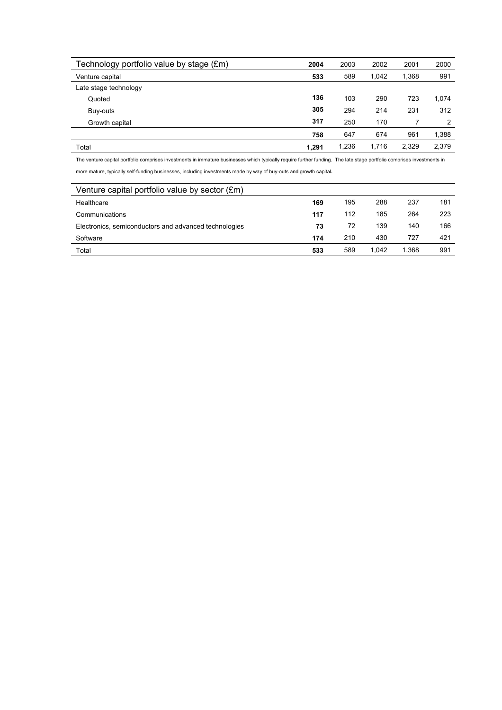| Technology portfolio value by stage (£m) | 2004  | 2003  | 2002  | 2001  | 2000  |
|------------------------------------------|-------|-------|-------|-------|-------|
| Venture capital                          | 533   | 589   | 1.042 | 1,368 | 991   |
| Late stage technology                    |       |       |       |       |       |
| Quoted                                   | 136   | 103   | 290   | 723   | 1,074 |
| Buy-outs                                 | 305   | 294   | 214   | 231   | 312   |
| Growth capital                           | 317   | 250   | 170   |       | 2     |
|                                          | 758   | 647   | 674   | 961   | 1,388 |
| Total                                    | 1.291 | 1,236 | 1.716 | 2.329 | 2.379 |

The venture capital portfolio comprises investments in immature businesses which typically require further funding. The late stage portfolio comprises investments in more mature, typically self-funding businesses, including investments made by way of buy-outs and growth capital**.** 

| Venture capital portfolio value by sector (£m)        |     |     |       |       |     |
|-------------------------------------------------------|-----|-----|-------|-------|-----|
| Healthcare                                            | 169 | 195 | 288   | 237   | 181 |
| Communications                                        | 117 | 112 | 185   | 264   | 223 |
| Electronics, semiconductors and advanced technologies | 73  | 72  | 139   | 140   | 166 |
| Software                                              | 174 | 210 | 430   | 727   | 421 |
| Total                                                 | 533 | 589 | 1.042 | 1.368 | 991 |
|                                                       |     |     |       |       |     |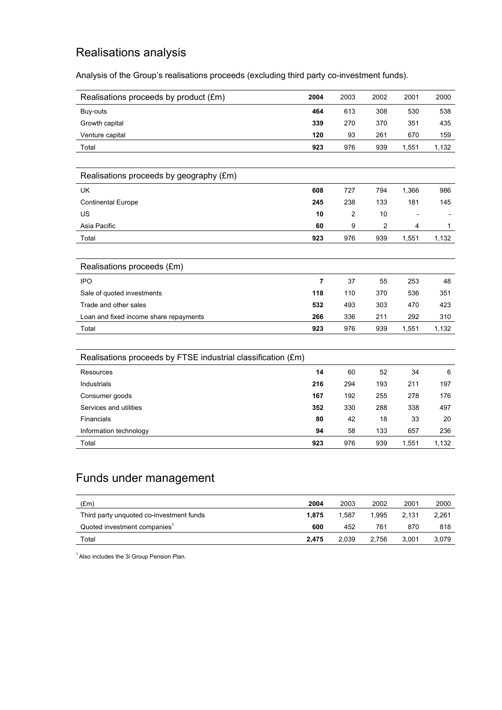# Realisations analysis

Analysis of the Group's realisations proceeds (excluding third party co-investment funds).

| Realisations proceeds by product (£m)                        | 2004           | 2003 | 2002 | 2001  | 2000         |
|--------------------------------------------------------------|----------------|------|------|-------|--------------|
| Buy-outs                                                     | 464            | 613  | 308  | 530   | 538          |
| Growth capital                                               | 339            | 270  | 370  | 351   | 435          |
| Venture capital                                              | 120            | 93   | 261  | 670   | 159          |
| Total                                                        | 923            | 976  | 939  | 1,551 | 1,132        |
|                                                              |                |      |      |       |              |
| Realisations proceeds by geography (£m)                      |                |      |      |       |              |
| <b>UK</b>                                                    | 608            | 727  | 794  | 1,366 | 986          |
| <b>Continental Europe</b>                                    | 245            | 238  | 133  | 181   | 145          |
| US                                                           | 10             | 2    | 10   |       |              |
| Asia Pacific                                                 | 60             | 9    | 2    | 4     | $\mathbf{1}$ |
| Total                                                        | 923            | 976  | 939  | 1,551 | 1,132        |
|                                                              |                |      |      |       |              |
| Realisations proceeds (£m)                                   |                |      |      |       |              |
| <b>IPO</b>                                                   | $\overline{7}$ | 37   | 55   | 253   | 48           |
| Sale of quoted investments                                   | 118            | 110  | 370  | 536   | 351          |
| Trade and other sales                                        | 532            | 493  | 303  | 470   | 423          |
| Loan and fixed income share repayments                       | 266            | 336  | 211  | 292   | 310          |
| Total                                                        | 923            | 976  | 939  | 1,551 | 1,132        |
|                                                              |                |      |      |       |              |
| Realisations proceeds by FTSE industrial classification (£m) |                |      |      |       |              |
| Resources                                                    | 14             | 60   | 52   | 34    | 6            |
| Industrials                                                  | 216            | 294  | 193  | 211   | 197          |
| Consumer goods                                               | 167            | 192  | 255  | 278   | 176          |
| Services and utilities                                       | 352            | 330  | 288  | 338   | 497          |
| Financials                                                   | 80             | 42   | 18   | 33    | 20           |
| Information technology                                       | 94             | 58   | 133  | 657   | 236          |
| Total                                                        | 923            | 976  | 939  | 1,551 | 1,132        |

# Funds under management

| (Em)                                     | 2004  | 2003  | 2002  | 2001  | 2000  |
|------------------------------------------|-------|-------|-------|-------|-------|
| Third party unquoted co-investment funds | 1.875 | 1.587 | 1.995 | 2.131 | 2.261 |
| Quoted investment companies <sup>1</sup> | 600   | 452   | 761   | 870   | 818   |
| Total                                    | 2.475 | 2.039 | 2.756 | 3.001 | 3,079 |
|                                          |       |       |       |       |       |

<sup>1</sup> Also includes the 3i Group Pension Plan.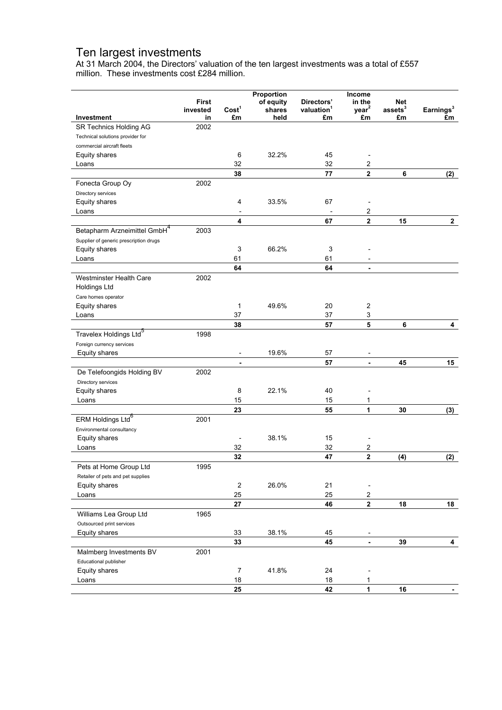### Ten largest investments

At 31 March 2004, the Directors' valuation of the ten largest investments was a total of £557 million. These investments cost £284 million.

|                                          | <b>First</b>   |                          | Proportion<br>of equity | Directors'                   | Income<br>in the             | <b>Net</b>             |                     |
|------------------------------------------|----------------|--------------------------|-------------------------|------------------------------|------------------------------|------------------------|---------------------|
| Investment                               | invested<br>in | Cost <sup>1</sup><br>£m  | shares<br>held          | valuation <sup>1</sup><br>£m | year <sup>2</sup><br>£m      | $\,$ assets $^3$<br>£m | Earnings $^3$<br>£m |
| SR Technics Holding AG                   | 2002           |                          |                         |                              |                              |                        |                     |
| Technical solutions provider for         |                |                          |                         |                              |                              |                        |                     |
| commercial aircraft fleets               |                |                          |                         |                              |                              |                        |                     |
| Equity shares                            |                | 6                        | 32.2%                   | 45                           |                              |                        |                     |
| Loans                                    |                | 32                       |                         | 32                           | 2                            |                        |                     |
|                                          |                | 38                       |                         | 77                           | $\overline{2}$               | 6                      | (2)                 |
| Fonecta Group Oy                         | 2002           |                          |                         |                              |                              |                        |                     |
| Directory services                       |                |                          |                         |                              |                              |                        |                     |
| Equity shares                            |                | 4                        | 33.5%                   | 67                           | $\overline{\phantom{a}}$     |                        |                     |
| Loans                                    |                | $\overline{\phantom{a}}$ |                         | $\overline{\phantom{0}}$     | $\overline{c}$               |                        |                     |
|                                          |                | 4                        |                         | 67                           | $\overline{\mathbf{2}}$      | 15                     | $\mathbf{2}$        |
| Betapharm Arzneimittel GmbH <sup>4</sup> | 2003           |                          |                         |                              |                              |                        |                     |
| Supplier of generic prescription drugs   |                |                          |                         |                              |                              |                        |                     |
| Equity shares                            |                | 3                        | 66.2%                   | 3                            |                              |                        |                     |
| Loans                                    |                | 61                       |                         | 61                           |                              |                        |                     |
|                                          |                | 64                       |                         | 64                           | $\blacksquare$               |                        |                     |
| Westminster Health Care                  | 2002           |                          |                         |                              |                              |                        |                     |
| <b>Holdings Ltd</b>                      |                |                          |                         |                              |                              |                        |                     |
| Care homes operator                      |                |                          |                         |                              |                              |                        |                     |
| Equity shares                            |                | 1                        | 49.6%                   | 20                           | $\boldsymbol{2}$             |                        |                     |
| Loans                                    |                | 37                       |                         | 37                           | 3                            |                        |                     |
|                                          |                | 38                       |                         | 57                           | 5                            | 6                      | 4                   |
| Travelex Holdings Ltd <sup>5</sup>       | 1998           |                          |                         |                              |                              |                        |                     |
| Foreign currency services                |                |                          |                         |                              |                              |                        |                     |
| Equity shares                            |                | $\overline{\phantom{a}}$ | 19.6%                   | 57                           | $\overline{\phantom{a}}$     |                        |                     |
|                                          |                | ٠                        |                         | 57                           | $\blacksquare$               | 45                     | 15                  |
| De Telefoongids Holding BV               | 2002           |                          |                         |                              |                              |                        |                     |
| Directory services                       |                |                          |                         |                              |                              |                        |                     |
| Equity shares                            |                | 8                        | 22.1%                   | 40                           |                              |                        |                     |
| Loans                                    |                | 15                       |                         | 15                           | 1                            |                        |                     |
|                                          |                | 23                       |                         | 55                           | 1                            | 30                     | (3)                 |
| ERM Holdings Ltd <sup>6</sup>            | 2001           |                          |                         |                              |                              |                        |                     |
| Environmental consultancy                |                |                          |                         |                              |                              |                        |                     |
| Equity shares                            |                |                          | 38.1%                   | 15                           |                              |                        |                     |
| Loans                                    |                | 32                       |                         | 32                           | 2                            |                        |                     |
|                                          |                | 32                       |                         | 47                           | $\mathbf 2$                  | (4)                    | (2)                 |
| Pets at Home Group Ltd                   | 1995           |                          |                         |                              |                              |                        |                     |
| Retailer of pets and pet supplies        |                |                          |                         |                              |                              |                        |                     |
| Equity shares                            |                | $\sqrt{2}$               | 26.0%                   | 21                           | $\overline{\phantom{a}}$     |                        |                     |
| Loans                                    |                | 25                       |                         | 25                           | $\overline{\mathbf{c}}$      |                        |                     |
|                                          |                | 27                       |                         | 46                           | $\mathbf 2$                  | 18                     | 18                  |
| Williams Lea Group Ltd                   | 1965           |                          |                         |                              |                              |                        |                     |
| Outsourced print services                |                |                          |                         |                              |                              |                        |                     |
| Equity shares                            |                | 33                       | 38.1%                   | 45                           | $\overline{\phantom{a}}$     |                        |                     |
|                                          |                | 33                       |                         | 45                           | $\blacksquare$               | 39                     | 4                   |
| Malmberg Investments BV                  | 2001           |                          |                         |                              |                              |                        |                     |
| Educational publisher                    |                |                          |                         |                              |                              |                        |                     |
| Equity shares                            |                | $\overline{7}$           | 41.8%                   | 24                           | $\qquad \qquad \blacksquare$ |                        |                     |
| Loans                                    |                | 18                       |                         | 18                           | 1                            |                        |                     |
|                                          |                | 25                       |                         | 42                           | 1                            | 16                     |                     |